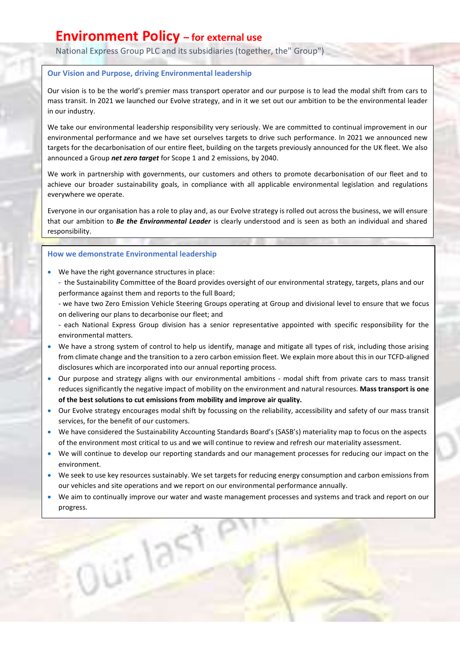## **Environment Policy – for external use**

National Express Group PLC and its subsidiaries (together, the" Group")

### **Our Vision and Purpose, driving Environmental leadership**

Our vision is to be the world's premier mass transport operator and our purpose is to lead the modal shift from cars to mass transit. In 2021 we launched our Evolve strategy, and in it we set out our ambition to be the environmental leader in our industry.

We take our environmental leadership responsibility very seriously. We are committed to continual improvement in our environmental performance and we have set ourselves targets to drive such performance. In 2021 we announced new targets for the decarbonisation of our entire fleet, building on the targets previously announced for the UK fleet. We also announced a Group *net zero target* for Scope 1 and 2 emissions, by 2040.

We work in partnership with governments, our customers and others to promote decarbonisation of our fleet and to achieve our broader sustainability goals, in compliance with all applicable environmental legislation and regulations everywhere we operate.

Everyone in our organisation has a role to play and, as our Evolve strategy is rolled out across the business, we will ensure that our ambition to *Be the Environmental Leader* is clearly understood and is seen as both an individual and shared responsibility.

#### **How we demonstrate Environmental leadership**

- We have the right governance structures in place:
	- the Sustainability Committee of the Board provides oversight of our environmental strategy, targets, plans and our performance against them and reports to the full Board;
	- we have two Zero Emission Vehicle Steering Groups operating at Group and divisional level to ensure that we focus on delivering our plans to decarbonise our fleet; and
	- each National Express Group division has a senior representative appointed with specific responsibility for the environmental matters.
- We have a strong system of control to help us identify, manage and mitigate all types of risk, including those arising from climate change and the transition to a zero carbon emission fleet. We explain more about this in our TCFD-aligned disclosures which are incorporated into our annual reporting process.
- Our purpose and strategy aligns with our environmental ambitions modal shift from private cars to mass transit reduces significantly the negative impact of mobility on the environment and natural resources. **Mass transport is one of the best solutions to cut emissions from mobility and improve air quality.**
- Our Evolve strategy encourages modal shift by focussing on the reliability, accessibility and safety of our mass transit services, for the benefit of our customers.
- We have considered the Sustainability Accounting Standards Board's (SASB's) materiality map to focus on the aspects of the environment most critical to us and we will continue to review and refresh our materiality assessment.
- We will continue to develop our reporting standards and our management processes for reducing our impact on the environment.
- We seek to use key resources sustainably. We set targets for reducing energy consumption and carbon emissions from our vehicles and site operations and we report on our environmental performance annually.
- We aim to continually improve our water and waste management processes and systems and track and report on our progress.